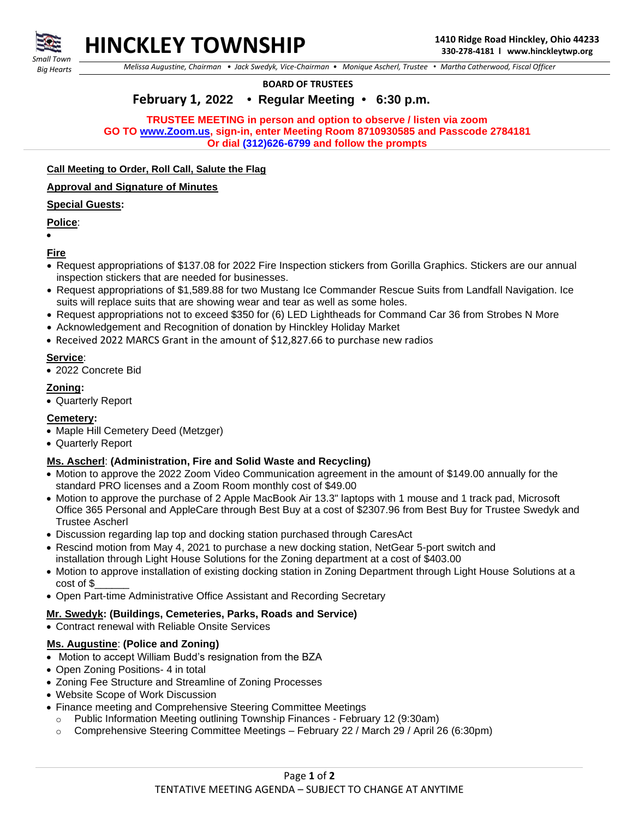

*Small Town Big Hearts*

 *Melissa Augustine, Chairman • Jack Swedyk, Vice-Chairman • Monique Ascherl, Trustee • Martha Catherwood, Fiscal Officer*

**BOARD OF TRUSTEES**

# **February 1, 2022 • Regular Meeting • 6:30 p.m.**

**TRUSTEE MEETING in person and option to observe / listen via zoom GO TO [www.Zoom.us,](http://www.zoom.us/) sign-in, enter Meeting Room 8710930585 and Passcode 2784181 Or dial (312)626-6799 and follow the prompts**

## **Call Meeting to Order, Roll Call, Salute the Flag**

#### **Approval and Signature of Minutes**

## **Special Guests:**

## **Police**:

• **Fire**

- Request appropriations of \$137.08 for 2022 Fire Inspection stickers from Gorilla Graphics. Stickers are our annual inspection stickers that are needed for businesses.
- Request appropriations of \$1,589.88 for two Mustang Ice Commander Rescue Suits from Landfall Navigation. Ice suits will replace suits that are showing wear and tear as well as some holes.
- Request appropriations not to exceed \$350 for (6) LED Lightheads for Command Car 36 from Strobes N More
- Acknowledgement and Recognition of donation by Hinckley Holiday Market
- Received 2022 MARCS Grant in the amount of \$12,827.66 to purchase new radios

### **Service**:

• 2022 Concrete Bid

### **Zoning:**

• Quarterly Report

### **Cemetery:**

- Maple Hill Cemetery Deed (Metzger)
- Quarterly Report

### **Ms. Ascherl**: **(Administration, Fire and Solid Waste and Recycling)**

- Motion to approve the 2022 Zoom Video Communication agreement in the amount of \$149.00 annually for the standard PRO licenses and a Zoom Room monthly cost of \$49.00
- Motion to approve the purchase of 2 Apple MacBook Air 13.3" laptops with 1 mouse and 1 track pad, Microsoft Office 365 Personal and AppleCare through Best Buy at a cost of \$2307.96 from Best Buy for Trustee Swedyk and Trustee Ascherl
- Discussion regarding lap top and docking station purchased through CaresAct
- Rescind motion from May 4, 2021 to purchase a new docking station, NetGear 5-port switch and installation through Light House Solutions for the Zoning department at a cost of \$403.00
- Motion to approve installation of existing docking station in Zoning Department through Light House Solutions at a cost of \$\_\_\_\_\_\_
- Open Part-time Administrative Office Assistant and Recording Secretary

### **Mr. Swedyk: (Buildings, Cemeteries, Parks, Roads and Service)**

• Contract renewal with Reliable Onsite Services

### **Ms. Augustine**: **(Police and Zoning)**

- Motion to accept William Budd's resignation from the BZA
- Open Zoning Positions- 4 in total
- Zoning Fee Structure and Streamline of Zoning Processes
- Website Scope of Work Discussion
- Finance meeting and Comprehensive Steering Committee Meetings
	- o Public Information Meeting outlining Township Finances February 12 (9:30am)
	- $\circ$  Comprehensive Steering Committee Meetings February 22 / March 29 / April 26 (6:30pm)